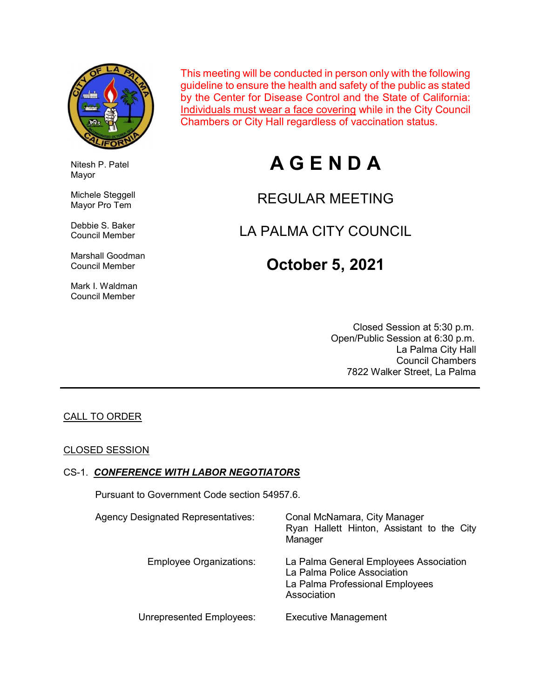

Nitesh P. Patel

 Michele Steggell Mayor Pro Tem

 Debbie S. Baker Council Member

 Marshall Goodman Council Member

 Mark I. Waldman Council Member

Mayor

This meeting will be conducted in person only with the following guideline to ensure the health and safety of the public as stated by the Center for Disease Control and the State of California: Individuals must wear a face covering while in the City Council Chambers or City Hall regardless of vaccination status.

# A G E N D A

## REGULAR MEETING

## LA PALMA CITY COUNCIL

## October 5, 2021

 Closed Session at 5:30 p.m. Open/Public Session at 6:30 p.m. La Palma City Hall Council Chambers 7822 Walker Street, La Palma

#### CALL TO ORDER

#### CLOSED SESSION

#### CS-1. CONFERENCE WITH LABOR NEGOTIATORS

Pursuant to Government Code section 54957.6.

| Agency Designated Representatives: | Conal McNamara, City Manager<br>Ryan Hallett Hinton, Assistant to the City<br>Manager                                   |
|------------------------------------|-------------------------------------------------------------------------------------------------------------------------|
| <b>Employee Organizations:</b>     | La Palma General Employees Association<br>La Palma Police Association<br>La Palma Professional Employees<br>Association |
| <b>Unrepresented Employees:</b>    | <b>Executive Management</b>                                                                                             |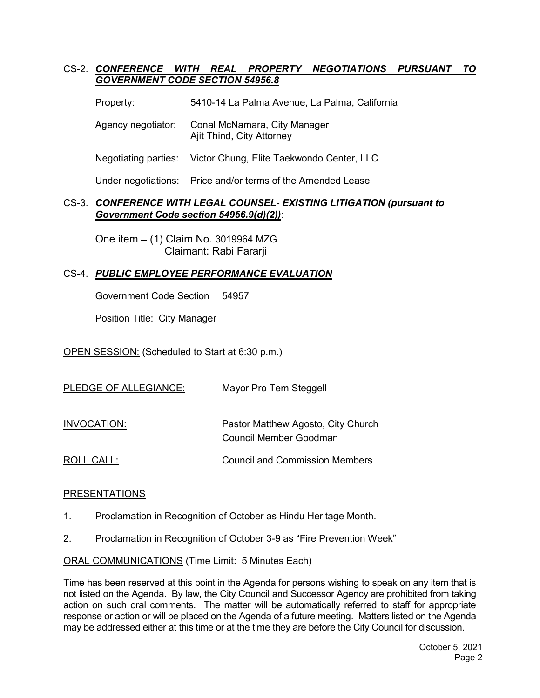#### CS-2. CONFERENCE WITH REAL PROPERTY NEGOTIATIONS PURSUANT TO GOVERNMENT CODE SECTION 54956.8

Property: 5410-14 La Palma Avenue, La Palma, California

 Agency negotiator: Conal McNamara, City Manager Ajit Thind, City Attorney

Negotiating parties: Victor Chung, Elite Taekwondo Center, LLC

Under negotiations: Price and/or terms of the Amended Lease

#### CS-3. CONFERENCE WITH LEGAL COUNSEL- EXISTING LITIGATION (pursuant to Government Code section 54956.9(d)(2)):

One item (1) Claim No. 3019964 MZG Claimant: Rabi Fararji

#### CS-4. PUBLIC EMPLOYEE PERFORMANCE EVALUATION

Government Code Section 54957

Position Title: City Manager

OPEN SESSION: (Scheduled to Start at 6:30 p.m.)

| PLEDGE OF ALLEGIANCE: | Mayor Pro Tem Steggell                                       |
|-----------------------|--------------------------------------------------------------|
| INVOCATION:           | Pastor Matthew Agosto, City Church<br>Council Member Goodman |
| ROLL CALL:            | <b>Council and Commission Members</b>                        |

#### PRESENTATIONS

- 1. Proclamation in Recognition of October as Hindu Heritage Month.
- 2. Proclamation in Recognition of October 3-9 as "Fire Prevention Week"

ORAL COMMUNICATIONS (Time Limit: 5 Minutes Each)

Time has been reserved at this point in the Agenda for persons wishing to speak on any item that is not listed on the Agenda. By law, the City Council and Successor Agency are prohibited from taking action on such oral comments. The matter will be automatically referred to staff for appropriate response or action or will be placed on the Agenda of a future meeting. Matters listed on the Agenda may be addressed either at this time or at the time they are before the City Council for discussion.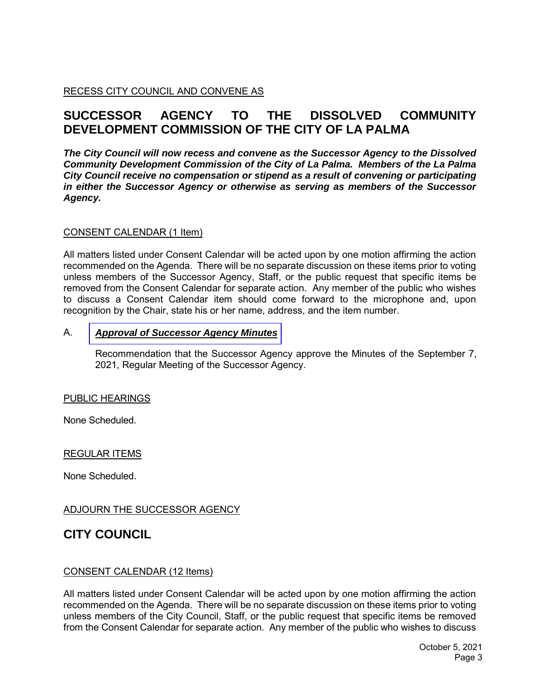RECESS CITY COUNCIL AND CONVENE AS

## **SUCCESSOR AGENCY TO THE DISSOLVED COMMUNITY DEVELOPMENT COMMISSION OF THE CITY OF LA PALMA**

*The City Council will now recess and convene as the Successor Agency to the Dissolved Community Development Commission of the City of La Palma. Members of the La Palma City Council receive no compensation or stipend as a result of convening or participating in either the Successor Agency or otherwise as serving as members of the Successor Agency.*

#### CONSENT CALENDAR (1 Item)

All matters listed under Consent Calendar will be acted upon by one motion affirming the action recommended on the Agenda. There will be no separate discussion on these items prior to voting unless members of the Successor Agency, Staff, or the public request that specific items be removed from the Consent Calendar for separate action. Any member of the public who wishes to discuss a Consent Calendar item should come forward to the microphone and, upon recognition by the Chair, state his or her name, address, and the item number.

#### A. *Approval of [Successor](https://www.cityoflapalma.org/DocumentCenter/View/11135/Item-A_Successor-Agency-Minutes) Agency Minutes*

Recommendation that the Successor Agency approve the Minutes of the September 7, 2021, Regular Meeting of the Successor Agency.

#### PUBLIC HEARINGS

None Scheduled.

#### REGULAR ITEMS

None Scheduled.

#### ADJOURN THE SUCCESSOR AGENCY

## **CITY COUNCIL**

#### CONSENT CALENDAR (12 Items)

All matters listed under Consent Calendar will be acted upon by one motion affirming the action recommended on the Agenda. There will be no separate discussion on these items prior to voting unless members of the City Council, Staff, or the public request that specific items be removed from the Consent Calendar for separate action. Any member of the public who wishes to discuss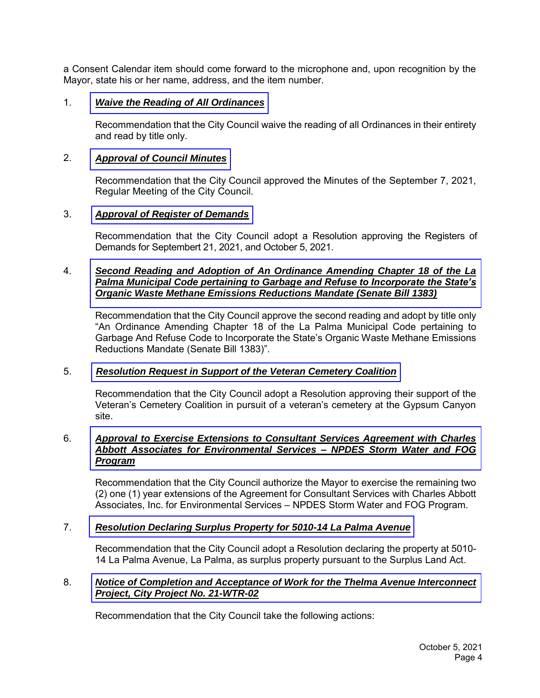a Consent Calendar item should come forward to the microphone and, upon recognition by the Mayor, state his or her name, address, and the item number.

#### 1. *[Waive the Reading of All Ordinances](https://www.cityoflapalma.org/DocumentCenter/View/11136/Item-1_Reading-of-Ordinances)*

Recommendation that the City Council waive the reading of all Ordinances in their entirety and read by title only.

#### 2. *[Approval of Council Minutes](https://www.cityoflapalma.org/DocumentCenter/View/11137/Item-2_SR-City-Council-Minutes)*

Recommendation that the City Council approved the Minutes of the September 7, 2021, Regular Meeting of the City Council.

#### 3. *[Approval of Register of Demands](https://www.cityoflapalma.org/DocumentCenter/View/11138/Item-3_CC-Warrants)*

Recommendation that the City Council adopt a Resolution approving the Registers of Demands for Septembert 21, 2021, and October 5, 2021.

#### 4. *Second Reading and Adoption of An Ordinance Amending Chapter 18 of the La [Palma Municipal Code pertaining to Garbage and Refuse to Incorporate the State's](https://www.cityoflapalma.org/DocumentCenter/View/11139/Item-4_Adoption-of-SB1383_Ordinace)  Organic Waste Methane Emissions Reductions Mandate (Senate Bill 1383)*

Recommendation that the City Council approve the second reading and adopt by title only "An Ordinance Amending Chapter 18 of the La Palma Municipal Code pertaining to Garbage And Refuse Code to Incorporate the State's Organic Waste Methane Emissions Reductions Mandate (Senate Bill 1383)".

#### 5. *[Resolution Request in Support of the Veteran Cemetery Coalition](https://www.cityoflapalma.org/DocumentCenter/View/11140/Item-5_Letter-of-Support-for-OC-Veterans-Cemetary)*

Recommendation that the City Council adopt a Resolution approving their support of the Veteran's Cemetery Coalition in pursuit of a veteran's cemetery at the Gypsum Canyon site.

#### 6. *[Approval to Exercise Extensions to Consultant Services Agreement with Charles](https://www.cityoflapalma.org/DocumentCenter/View/11141/Item-6_CAA-Contract-Extension)  Abbott Associates for Environmental Services – NPDES Storm Water and FOG Program*

Recommendation that the City Council authorize the Mayor to exercise the remaining two (2) one (1) year extensions of the Agreement for Consultant Services with Charles Abbott Associates, Inc. for Environmental Services – NPDES Storm Water and FOG Program.

#### 7. *[Resolution Declaring Surplus Property for 5010-14 La Palma Avenue](https://www.cityoflapalma.org/DocumentCenter/View/11142/Item-7_Surplus-land-5410-La-Palma)*

Recommendation that the City Council adopt a Resolution declaring the property at 5010- 14 La Palma Avenue, La Palma, as surplus property pursuant to the Surplus Land Act.

#### 8. *[Notice of Completion and Acceptance of Work for the Thelma Avenue Interconnect](https://www.cityoflapalma.org/DocumentCenter/View/11143/Item-8_Notice-of-Completion-21-WTR-02)  Project, City Project No. 21-WTR-02*

Recommendation that the City Council take the following actions: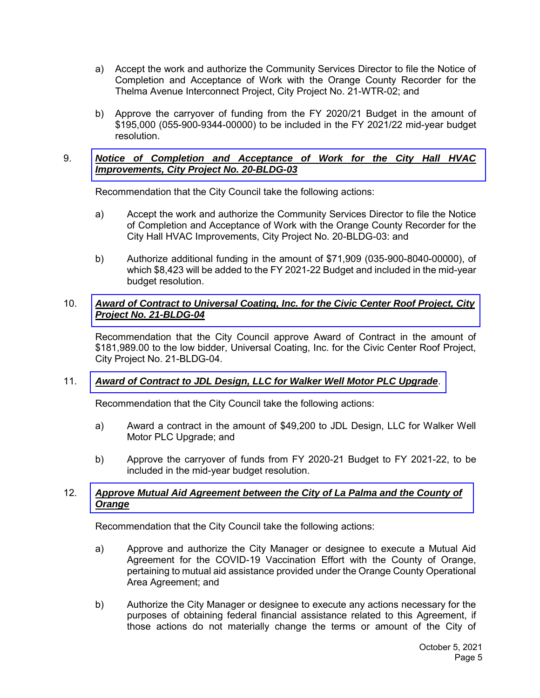- a) Accept the work and authorize the Community Services Director to file the Notice of Completion and Acceptance of Work with the Orange County Recorder for the Thelma Avenue Interconnect Project, City Project No. 21-WTR-02; and
- b) Approve the carryover of funding from the FY 2020/21 Budget in the amount of \$195,000 (055-900-9344-00000) to be included in the FY 2021/22 mid-year budget resolution.

#### 9. *[Notice of Completion and Acceptance of Work for the City Hall HVAC](https://www.cityoflapalma.org/DocumentCenter/View/11129/Item-9_NOC-City-Hall-HVAC-Improvements)  Improvements, City Project No. 20-BLDG-03*

Recommendation that the City Council take the following actions:

- a) Accept the work and authorize the Community Services Director to file the Notice of Completion and Acceptance of Work with the Orange County Recorder for the City Hall HVAC Improvements, City Project No. 20-BLDG-03: and
- b) Authorize additional funding in the amount of \$71,909 (035-900-8040-00000), of which \$8,423 will be added to the FY 2021-22 Budget and included in the mid-year budget resolution.

#### 10. *[Award of Contract to Universal Coating, Inc. for the Civic Center Roof Project, City](https://www.cityoflapalma.org/DocumentCenter/View/11130/Item-10_AOC-City-Hall-Roof)  Project No. 21-BLDG-04*

Recommendation that the City Council approve Award of Contract in the amount of \$181,989.00 to the low bidder, Universal Coating, Inc. for the Civic Center Roof Project, City Project No. 21-BLDG-04.

#### 11. *[Award of Contract to JDL Design, LLC for Walker Well Motor PLC Upgrade](https://www.cityoflapalma.org/DocumentCenter/View/11131/Item-11_Walker-Well-PLC)*.

Recommendation that the City Council take the following actions:

- a) Award a contract in the amount of \$49,200 to JDL Design, LLC for Walker Well Motor PLC Upgrade; and
- b) Approve the carryover of funds from FY 2020-21 Budget to FY 2021-22, to be included in the mid-year budget resolution.

#### 12. *[Approve Mutual Aid Agreement between the City of La Palma and the County of](https://www.cityoflapalma.org/DocumentCenter/View/11132/Item-12_Mutual-Aid-Agreement-for-COVID)  Orange*

Recommendation that the City Council take the following actions:

- a) Approve and authorize the City Manager or designee to execute a Mutual Aid Agreement for the COVID-19 Vaccination Effort with the County of Orange, pertaining to mutual aid assistance provided under the Orange County Operational Area Agreement; and
- b) Authorize the City Manager or designee to execute any actions necessary for the purposes of obtaining federal financial assistance related to this Agreement, if those actions do not materially change the terms or amount of the City of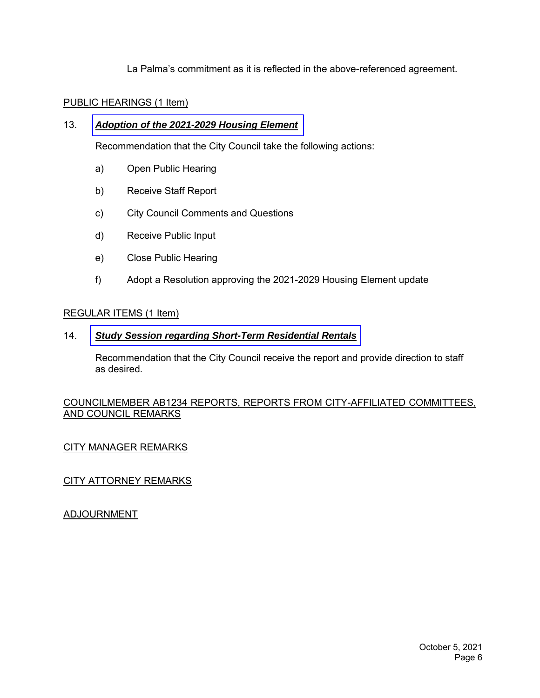La Palma's commitment as it is reflected in the above-referenced agreement.

#### PUBLIC HEARINGS (1 Item)

#### 13. *[Adoption of the 2021-2029 Housing Element](https://www.cityoflapalma.org/DocumentCenter/View/11133/Item-13_Staff_Report_HE_Adoption)*

Recommendation that the City Council take the following actions:

- a) Open Public Hearing
- b) Receive Staff Report
- c) City Council Comments and Questions
- d) Receive Public Input
- e) Close Public Hearing
- f) Adopt a Resolution approving the 2021-2029 Housing Element update

#### REGULAR ITEMS (1 Item)

#### 14. *Study Session [regarding Short-Term Residential Rentals](https://www.cityoflapalma.org/DocumentCenter/View/11134/Item-14_Study_Session_STRs)*

Recommendation that the City Council receive the report and provide direction to staff as desired.

#### COUNCILMEMBER AB1234 REPORTS, REPORTS FROM CITY-AFFILIATED COMMITTEES, AND COUNCIL REMARKS

#### CITY MANAGER REMARKS

CITY ATTORNEY REMARKS

ADJOURNMENT